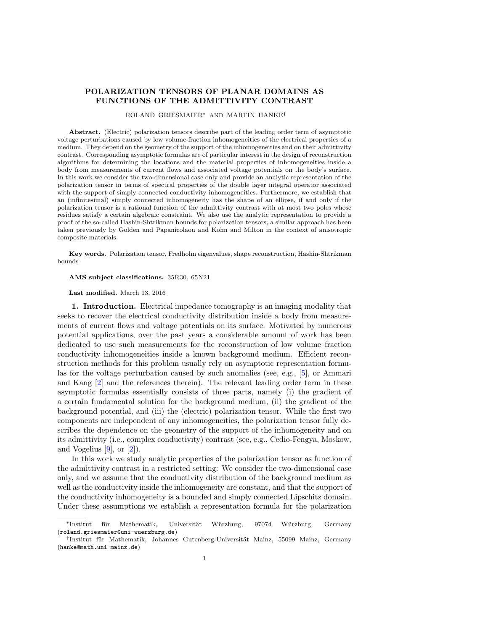## POLARIZATION TENSORS OF PLANAR DOMAINS AS FUNCTIONS OF THE ADMITTIVITY CONTRAST

### ROLAND GRIESMAIER<sup>∗</sup> AND MARTIN HANKE†

Abstract. (Electric) polarization tensors describe part of the leading order term of asymptotic voltage perturbations caused by low volume fraction inhomogeneities of the electrical properties of a medium. They depend on the geometry of the support of the inhomogeneities and on their admittivity contrast. Corresponding asymptotic formulas are of particular interest in the design of reconstruction algorithms for determining the locations and the material properties of inhomogeneities inside a body from measurements of current flows and associated voltage potentials on the body's surface. In this work we consider the two-dimensional case only and provide an analytic representation of the polarization tensor in terms of spectral properties of the double layer integral operator associated with the support of simply connected conductivity inhomogeneities. Furthermore, we establish that an (infinitesimal) simply connected inhomogeneity has the shape of an ellipse, if and only if the polarization tensor is a rational function of the admittivity contrast with at most two poles whose residues satisfy a certain algebraic constraint. We also use the analytic representation to provide a proof of the so-called Hashin-Shtrikman bounds for polarization tensors; a similar approach has been taken previously by Golden and Papanicolaou and Kohn and Milton in the context of anisotropic composite materials.

Key words. Polarization tensor, Fredholm eigenvalues, shape reconstruction, Hashin-Shtrikman bounds

### AMS subject classifications. 35R30, 65N21

## Last modified. March 13, 2016

1. Introduction. Electrical impedance tomography is an imaging modality that seeks to recover the electrical conductivity distribution inside a body from measurements of current flows and voltage potentials on its surface. Motivated by numerous potential applications, over the past years a considerable amount of work has been dedicated to use such measurements for the reconstruction of low volume fraction conductivity inhomogeneities inside a known background medium. Efficient reconstruction methods for this problem usually rely on asymptotic representation formulas for the voltage perturbation caused by such anomalies (see, e.g., [\[5\]](#page-18-0), or Ammari and Kang [\[2\]](#page-18-1) and the references therein). The relevant leading order term in these asymptotic formulas essentially consists of three parts, namely (i) the gradient of a certain fundamental solution for the background medium, (ii) the gradient of the background potential, and (iii) the (electric) polarization tensor. While the first two components are independent of any inhomogeneities, the polarization tensor fully describes the dependence on the geometry of the support of the inhomogeneity and on its admittivity (i.e., complex conductivity) contrast (see, e.g., Cedio-Fengya, Moskow, and Vogelius  $[9]$ , or  $[2]$ ).

In this work we study analytic properties of the polarization tensor as function of the admittivity contrast in a restricted setting: We consider the two-dimensional case only, and we assume that the conductivity distribution of the background medium as well as the conductivity inside the inhomogeneity are constant, and that the support of the conductivity inhomogeneity is a bounded and simply connected Lipschitz domain. Under these assumptions we establish a representation formula for the polarization

<sup>∗</sup>Institut f¨ur Mathematik, Universit¨at W¨urzburg, 97074 W¨urzburg, Germany (roland.griesmaier@uni-wuerzburg.de)

<sup>&</sup>lt;sup>†</sup>Institut für Mathematik, Johannes Gutenberg-Universität Mainz, 55099 Mainz, Germany (hanke@math.uni-mainz.de)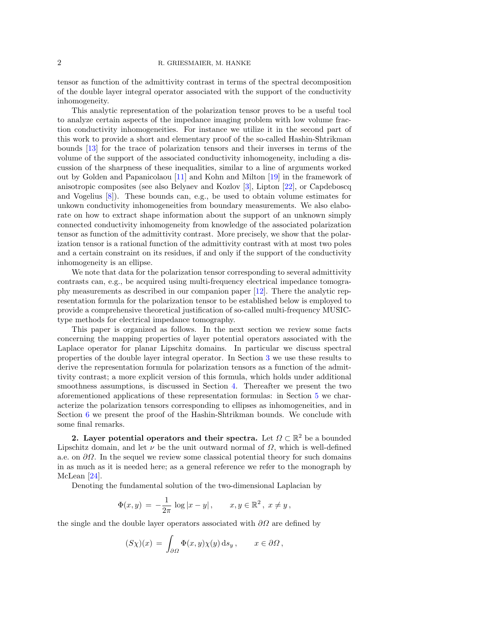tensor as function of the admittivity contrast in terms of the spectral decomposition of the double layer integral operator associated with the support of the conductivity inhomogeneity.

This analytic representation of the polarization tensor proves to be a useful tool to analyze certain aspects of the impedance imaging problem with low volume fraction conductivity inhomogeneities. For instance we utilize it in the second part of this work to provide a short and elementary proof of the so-called Hashin-Shtrikman bounds [\[13\]](#page-18-3) for the trace of polarization tensors and their inverses in terms of the volume of the support of the associated conductivity inhomogeneity, including a discussion of the sharpness of these inequalities, similar to a line of arguments worked out by Golden and Papanicolaou [\[11\]](#page-18-4) and Kohn and Milton [\[19\]](#page-18-5) in the framework of anisotropic composites (see also Belyaev and Kozlov [\[3\]](#page-18-6), Lipton [\[22\]](#page-18-7), or Capdeboscq and Vogelius [\[8\]](#page-18-8)). These bounds can, e.g., be used to obtain volume estimates for unkown conductivity inhomogeneities from boundary measurements. We also elaborate on how to extract shape information about the support of an unknown simply connected conductivity inhomogeneity from knowledge of the associated polarization tensor as function of the admittivity contrast. More precisely, we show that the polarization tensor is a rational function of the admittivity contrast with at most two poles and a certain constraint on its residues, if and only if the support of the conductivity inhomogeneity is an ellipse.

We note that data for the polarization tensor corresponding to several admittivity contrasts can, e.g., be acquired using multi-frequency electrical impedance tomography measurements as described in our companion paper [\[12\]](#page-18-9). There the analytic representation formula for the polarization tensor to be established below is employed to provide a comprehensive theoretical justification of so-called multi-frequency MUSICtype methods for electrical impedance tomography.

This paper is organized as follows. In the next section we review some facts concerning the mapping properties of layer potential operators associated with the Laplace operator for planar Lipschitz domains. In particular we discuss spectral properties of the double layer integral operator. In Section [3](#page-5-0) we use these results to derive the representation formula for polarization tensors as a function of the admittivity contrast; a more explicit version of this formula, which holds under additional smoothness assumptions, is discussed in Section [4.](#page-10-0) Thereafter we present the two aforementioned applications of these representation formulas: in Section [5](#page-12-0) we characterize the polarization tensors corresponding to ellipses as inhomogeneities, and in Section [6](#page-15-0) we present the proof of the Hashin-Shtrikman bounds. We conclude with some final remarks.

2. Layer potential operators and their spectra. Let  $\Omega \subset \mathbb{R}^2$  be a bounded Lipschitz domain, and let  $\nu$  be the unit outward normal of  $\Omega$ , which is well-defined a.e. on  $\partial\Omega$ . In the sequel we review some classical potential theory for such domains in as much as it is needed here; as a general reference we refer to the monograph by McLean [\[24\]](#page-18-10).

Denoting the fundamental solution of the two-dimensional Laplacian by

$$
\Phi(x, y) = -\frac{1}{2\pi} \log|x - y|, \qquad x, y \in \mathbb{R}^2, \ x \neq y,
$$

the single and the double layer operators associated with  $\partial\Omega$  are defined by

$$
(S\chi)(x) = \int_{\partial\Omega} \Phi(x, y)\chi(y) \,ds_y, \qquad x \in \partial\Omega,
$$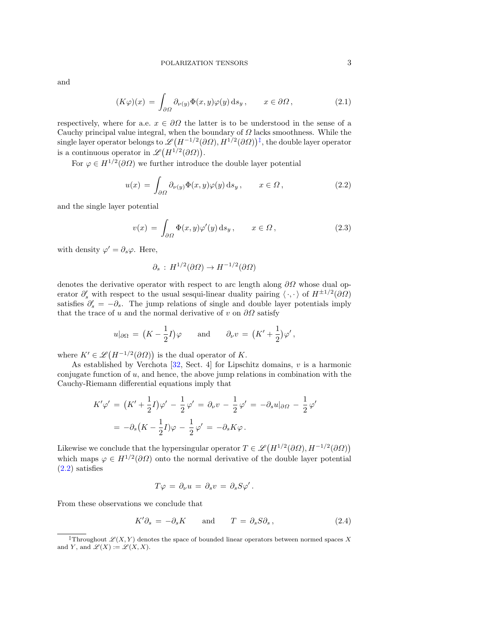and

<span id="page-2-4"></span>
$$
(K\varphi)(x) = \int_{\partial\Omega} \partial_{\nu(y)} \Phi(x, y)\varphi(y) \,ds_y, \qquad x \in \partial\Omega, \tag{2.1}
$$

respectively, where for a.e.  $x \in \partial\Omega$  the latter is to be understood in the sense of a Cauchy principal value integral, when the boundary of  $\Omega$  lacks smoothness. While the single layer operator belongs to  $\mathscr{L}(H^{-1/2}(\partial\Omega),H^{1/2}(\partial\Omega))^{\ddagger}$ , the double layer operator is a continuous operator in  $\mathscr{L}(H^{1/2}(\partial\Omega)).$ 

For  $\varphi \in H^{1/2}(\partial \Omega)$  we further introduce the double layer potential

<span id="page-2-1"></span>
$$
u(x) = \int_{\partial \Omega} \partial_{\nu(y)} \Phi(x, y) \varphi(y) \, ds_y, \qquad x \in \Omega, \tag{2.2}
$$

and the single layer potential

<span id="page-2-3"></span>
$$
v(x) = \int_{\partial \Omega} \Phi(x, y) \varphi'(y) \, ds_y, \qquad x \in \Omega, \tag{2.3}
$$

with density  $\varphi' = \partial_s \varphi$ . Here,

$$
\partial_s : H^{1/2}(\partial\Omega) \to H^{-1/2}(\partial\Omega)
$$

denotes the derivative operator with respect to arc length along  $\partial\Omega$  whose dual operator  $\partial'_s$  with respect to the usual sesqui-linear duality pairing  $\langle \cdot, \cdot \rangle$  of  $H^{\pm 1/2}(\partial \Omega)$ satisfies  $\partial_s' = -\partial_s$ . The jump relations of single and double layer potentials imply that the trace of u and the normal derivative of v on  $\partial\Omega$  satisfy

$$
u|_{\partial\Omega} = (K - \frac{1}{2}I)\varphi
$$
 and  $\partial_{\nu}v = (K' + \frac{1}{2})\varphi',$ 

where  $K' \in \mathscr{L}(H^{-1/2}(\partial \Omega))$  is the dual operator of K.

As established by Verchota  $[32, \text{ Sect. } 4]$  $[32, \text{ Sect. } 4]$  for Lipschitz domains, v is a harmonic conjugate function of u, and hence, the above jump relations in combination with the Cauchy-Riemann differential equations imply that

$$
K'\varphi' = (K' + \frac{1}{2}I)\varphi' - \frac{1}{2}\varphi' = \partial_{\nu}v - \frac{1}{2}\varphi' = -\partial_{s}u|_{\partial\Omega} - \frac{1}{2}\varphi'
$$
  
=  $-\partial_{s}(K - \frac{1}{2}I)\varphi - \frac{1}{2}\varphi' = -\partial_{s}K\varphi.$ 

Likewise we conclude that the hypersingular operator  $T \in \mathscr{L}(H^{1/2}(\partial \Omega), H^{-1/2}(\partial \Omega))$ which maps  $\varphi \in H^{1/2}(\partial \Omega)$  onto the normal derivative of the double layer potential [\(2.2\)](#page-2-1) satisfies

$$
T\varphi = \partial_{\nu}u = \partial_{s}v = \partial_{s}S\varphi'.
$$

From these observations we conclude that

<span id="page-2-2"></span>
$$
K'\partial_s = -\partial_s K \quad \text{and} \quad T = \partial_s S \partial_s , \qquad (2.4)
$$

<span id="page-2-0"></span><sup>&</sup>lt;sup>‡</sup>Throughout  $\mathscr{L}(X, Y)$  denotes the space of bounded linear operators between normed spaces X and Y, and  $\mathscr{L}(X) := \mathscr{L}(X, X)$ .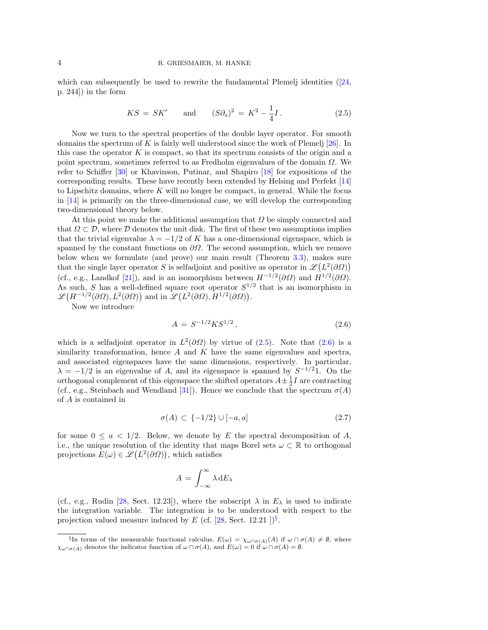which can subsequently be used to rewrite the fundamental Plemelj identities ([\[24,](#page-18-10) p. 244]) in the form

<span id="page-3-0"></span>
$$
KS = SK'
$$
 and  $(S\partial_s)^2 = K^2 - \frac{1}{4}I$ . (2.5)

Now we turn to the spectral properties of the double layer operator. For smooth domains the spectrum of K is fairly well understood since the work of Plemelj  $[26]$ . In this case the operator  $K$  is compact, so that its spectrum consists of the origin and a point spectrum, sometimes referred to as Fredholm eigenvalues of the domain  $\Omega$ . We refer to Schiffer [\[30\]](#page-19-1) or Khavinson, Putinar, and Shapiro [\[18\]](#page-18-12) for expositions of the corresponding results. These have recently been extended by Helsing and Perfekt [\[14\]](#page-18-13) to Lipschitz domains, where  $K$  will no longer be compact, in general. While the focus in [\[14\]](#page-18-13) is primarily on the three-dimensional case, we will develop the corresponding two-dimensional theory below.

At this point we make the additional assumption that  $\Omega$  be simply connected and that  $\Omega \subset \mathcal{D}$ , where  $\mathcal D$  denotes the unit disk. The first of these two assumptions implies that the trivial eigenvalue  $\lambda = -1/2$  of K has a one-dimensional eigenspace, which is spanned by the constant functions on  $\partial\Omega$ . The second assumption, which we remove below when we formulate (and prove) our main result (Theorem [3.3\)](#page-8-0), makes sure that the single layer operator S is selfadjoint and positive as operator in  $\mathscr{L}(L^2(\partial\Omega))$ (cf., e.g., Landkof [\[21\]](#page-18-14)), and is an isomorphism between  $H^{-1/2}(\partial\Omega)$  and  $H^{1/2}(\partial\Omega)$ . As such, S has a well-defined square root operator  $S^{1/2}$  that is an isomorphism in  $\mathscr{L}(H^{-1/2}(\partial\Omega), L^2(\partial\Omega))$  and in  $\mathscr{L}(L^2(\partial\Omega), H^{1/2}(\partial\Omega)).$ 

Now we introduce

<span id="page-3-1"></span>
$$
A = S^{-1/2} K S^{1/2}, \qquad (2.6)
$$

which is a selfadjoint operator in  $L^2(\partial\Omega)$  by virtue of [\(2.5\)](#page-3-0). Note that [\(2.6\)](#page-3-1) is a similarity transformation, hence  $A$  and  $K$  have the same eigenvalues and spectra, and associated eigenspaces have the same dimensions, respectively. In particular,  $\lambda = -1/2$  is an eigenvalue of A, and its eigenspace is spanned by  $S^{-1/2}1$ . On the orthogonal complement of this eigenspace the shifted operators  $A \pm \frac{1}{2}I$  are contracting (cf., e.g., Steinbach and Wendland [\[31\]](#page-19-2)). Hence we conclude that the spectrum  $\sigma(A)$ of A is contained in

<span id="page-3-3"></span>
$$
\sigma(A) \subset \{-1/2\} \cup [-a, a] \tag{2.7}
$$

for some  $0 \le a < 1/2$ . Below, we denote by E the spectral decomposition of A, i.e., the unique resolution of the identity that maps Borel sets  $\omega \subset \mathbb{R}$  to orthogonal projections  $E(\omega) \in \mathscr{L}(L^2(\partial \Omega))$ , which satisfies

$$
A\,=\,\int_{-\infty}^{\infty} \lambda\,\mathrm{d} E_{\lambda}
$$

(cf., e.g., Rudin [\[28,](#page-19-3) Sect. 12.23]), where the subscript  $\lambda$  in  $E_{\lambda}$  is used to indicate the integration variable. The integration is to be understood with respect to the projection valued measure induced by E (cf. [\[28,](#page-19-3) Sect. 12.21 ])<sup>[§](#page-3-2)</sup>.

<span id="page-3-2"></span><sup>§</sup>In terms of the measurable functional calculus,  $E(\omega) = \chi_{\omega \cap \sigma(A)}(A)$  if  $\omega \cap \sigma(A) \neq \emptyset$ , where  $\chi_{\omega\cap\sigma(A)}$  denotes the indicator function of  $\omega\cap\sigma(A)$ , and  $E(\omega)=0$  if  $\omega\cap\sigma(A)=\emptyset$ .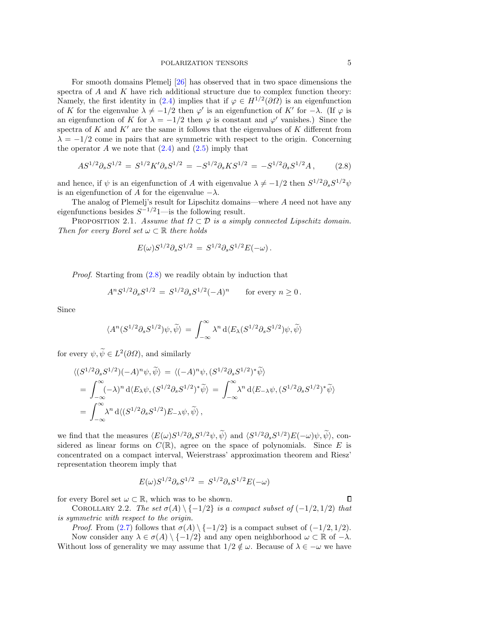For smooth domains Plemelj [\[26\]](#page-18-11) has observed that in two space dimensions the spectra of  $A$  and  $K$  have rich additional structure due to complex function theory: Namely, the first identity in [\(2.4\)](#page-2-2) implies that if  $\varphi \in H^{1/2}(\partial \Omega)$  is an eigenfunction of K for the eigenvalue  $\lambda \neq -1/2$  then  $\varphi'$  is an eigenfunction of K' for  $-\lambda$ . (If  $\varphi$  is an eigenfunction of K for  $\lambda = -1/2$  then  $\varphi$  is constant and  $\varphi'$  vanishes.) Since the spectra of K and  $K'$  are the same it follows that the eigenvalues of K different from  $\lambda = -1/2$  come in pairs that are symmetric with respect to the origin. Concerning the operator  $A$  we note that  $(2.4)$  and  $(2.5)$  imply that

<span id="page-4-0"></span>
$$
AS^{1/2}\partial_s S^{1/2} = S^{1/2}K'\partial_s S^{1/2} = -S^{1/2}\partial_s KS^{1/2} = -S^{1/2}\partial_s S^{1/2}A, \qquad (2.8)
$$

and hence, if  $\psi$  is an eigenfunction of A with eigenvalue  $\lambda \neq -1/2$  then  $S^{1/2}\partial_s S^{1/2}\psi$ is an eigenfunction of A for the eigenvalue  $-\lambda$ .

The analog of Plemelj's result for Lipschitz domains—where A need not have any eigenfunctions besides  $S^{-1/2}1$ —is the following result.

<span id="page-4-1"></span>PROPOSITION 2.1. Assume that  $\Omega \subset \mathcal{D}$  is a simply connected Lipschitz domain. Then for every Borel set  $\omega \subset \mathbb{R}$  there holds

$$
E(\omega)S^{1/2}\partial_s S^{1/2} = S^{1/2}\partial_s S^{1/2} E(-\omega) .
$$

Proof. Starting from [\(2.8\)](#page-4-0) we readily obtain by induction that

$$
A^n S^{1/2} \partial_s S^{1/2} = S^{1/2} \partial_s S^{1/2} (-A)^n \quad \text{for every } n \ge 0.
$$

Since

$$
\langle A^n (S^{1/2} \partial_s S^{1/2}) \psi, \widetilde{\psi} \rangle = \int_{-\infty}^{\infty} \lambda^n \, d \langle E_{\lambda} (S^{1/2} \partial_s S^{1/2}) \psi, \widetilde{\psi} \rangle
$$

for every  $\psi, \psi \in L^2(\partial \Omega)$ , and similarly

$$
\langle (S^{1/2}\partial_s S^{1/2})(-A)^n\psi, \widetilde{\psi} \rangle = \langle (-A)^n\psi, (S^{1/2}\partial_s S^{1/2})^*\widetilde{\psi} \rangle
$$
  
= 
$$
\int_{-\infty}^{\infty} (-\lambda)^n d\langle E_{\lambda}\psi, (S^{1/2}\partial_s S^{1/2})^*\widetilde{\psi} \rangle = \int_{-\infty}^{\infty} \lambda^n d\langle E_{-\lambda}\psi, (S^{1/2}\partial_s S^{1/2})^*\widetilde{\psi} \rangle
$$
  
= 
$$
\int_{-\infty}^{\infty} \lambda^n d\langle (S^{1/2}\partial_s S^{1/2})E_{-\lambda}\psi, \widetilde{\psi} \rangle,
$$

we find that the measures  $\langle E(\omega)S^{1/2}\partial_sS^{1/2}\psi,\tilde{\psi}\rangle$  and  $\langle S^{1/2}\partial_sS^{1/2}\rangle E(-\omega)\psi,\tilde{\psi}\rangle$ , considered as linear forms on  $C(\mathbb{R})$ , agree on the space of polynomials. Since E is concentrated on a compact interval, Weierstrass' approximation theorem and Riesz' representation theorem imply that

$$
E(\omega)S^{1/2}\partial_s S^{1/2} = S^{1/2}\partial_s S^{1/2}E(-\omega)
$$

for every Borel set  $\omega \subset \mathbb{R}$ , which was to be shown.

<span id="page-4-2"></span>COROLLARY 2.2. The set  $\sigma(A) \setminus \{-1/2\}$  is a compact subset of  $(-1/2, 1/2)$  that is symmetric with respect to the origin.

*Proof.* From [\(2.7\)](#page-3-3) follows that  $\sigma(A) \setminus \{-1/2\}$  is a compact subset of  $(-1/2, 1/2)$ . Now consider any  $\lambda \in \sigma(A) \setminus \{-1/2\}$  and any open neighborhood  $\omega \subset \mathbb{R}$  of  $-\lambda$ . Without loss of generality we may assume that  $1/2 \notin \omega$ . Because of  $\lambda \in -\omega$  we have

 $\Box$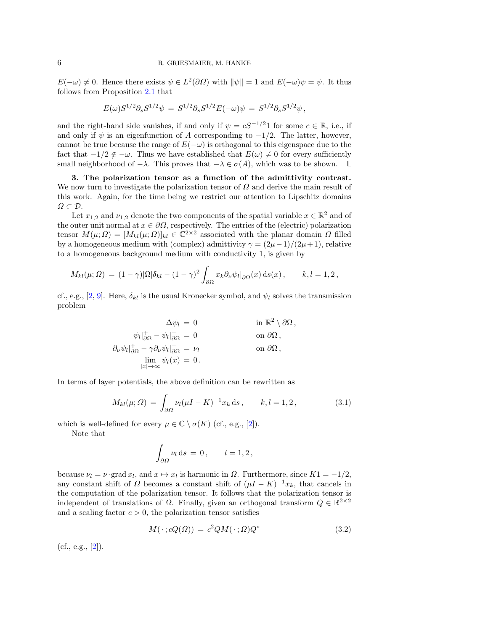$E(-\omega) \neq 0$ . Hence there exists  $\psi \in L^2(\partial\Omega)$  with  $\|\psi\| = 1$  and  $E(-\omega)\psi = \psi$ . It thus follows from Proposition [2.1](#page-4-1) that

$$
E(\omega)S^{1/2}\partial_s S^{1/2}\psi = S^{1/2}\partial_s S^{1/2}E(-\omega)\psi = S^{1/2}\partial_s S^{1/2}\psi,
$$

and the right-hand side vanishes, if and only if  $\psi = cS^{-1/2}1$  for some  $c \in \mathbb{R}$ , i.e., if and only if  $\psi$  is an eigenfunction of A corresponding to  $-1/2$ . The latter, however, cannot be true because the range of  $E(-\omega)$  is orthogonal to this eigenspace due to the fact that  $-1/2 \notin -\omega$ . Thus we have established that  $E(\omega) \neq 0$  for every sufficiently small neighborhood of  $-\lambda$ . This proves that  $-\lambda \in \sigma(A)$ , which was to be shown.  $\Box$ 

<span id="page-5-0"></span>3. The polarization tensor as a function of the admittivity contrast. We now turn to investigate the polarization tensor of  $\Omega$  and derive the main result of this work. Again, for the time being we restrict our attention to Lipschitz domains  $\Omega \subset \mathcal{D}$ .

Let  $x_{1,2}$  and  $\nu_{1,2}$  denote the two components of the spatial variable  $x \in \mathbb{R}^2$  and of the outer unit normal at  $x \in \partial\Omega$ , respectively. The entries of the (electric) polarization tensor  $M(\mu; \Omega) = [M_{kl}(\mu; \Omega)]_{kl} \in \mathbb{C}^{2 \times 2}$  associated with the planar domain  $\Omega$  filled by a homogeneous medium with (complex) admittivity  $\gamma = (2\mu - 1)/(2\mu + 1)$ , relative to a homogeneous background medium with conductivity 1, is given by

$$
M_{kl}(\mu;\Omega) = (1-\gamma)|\Omega|\delta_{kl} - (1-\gamma)^2 \int_{\partial\Omega} x_k \partial_\nu \psi_l|_{\partial\Omega}^-(x) ds(x), \qquad k,l = 1,2,
$$

cf., e.g., [\[2,](#page-18-1) [9\]](#page-18-2). Here,  $\delta_{kl}$  is the usual Kronecker symbol, and  $\psi_l$  solves the transmission problem

$$
\Delta \psi_l = 0 \qquad \text{in } \mathbb{R}^2 \setminus \partial \Omega,
$$
  
\n
$$
\psi_l|_{\partial \Omega}^+ - \psi_l|_{\partial \Omega}^- = 0 \qquad \text{on } \partial \Omega,
$$
  
\n
$$
\partial_\nu \psi_l|_{\partial \Omega}^+ - \gamma \partial_\nu \psi_l|_{\partial \Omega}^- = \nu_l \qquad \text{on } \partial \Omega,
$$
  
\n
$$
\lim_{|x| \to \infty} \psi_l(x) = 0.
$$

In terms of layer potentials, the above definition can be rewritten as

<span id="page-5-1"></span>
$$
M_{kl}(\mu; \Omega) = \int_{\partial \Omega} \nu_l (\mu I - K)^{-1} x_k \, \mathrm{d}s \,, \qquad k, l = 1, 2 \,, \tag{3.1}
$$

which is well-defined for every  $\mu \in \mathbb{C} \setminus \sigma(K)$  (cf., e.g., [\[2\]](#page-18-1)).

Note that

$$
\int_{\partial\Omega} \nu_l \, \mathrm{d}s = 0, \qquad l = 1, 2 \,,
$$

because  $\nu_l = \nu \cdot \text{grad } x_l$ , and  $x \mapsto x_l$  is harmonic in  $\Omega$ . Furthermore, since  $K1 = -1/2$ , any constant shift of  $\Omega$  becomes a constant shift of  $(\mu I - K)^{-1}x_k$ , that cancels in the computation of the polarization tensor. It follows that the polarization tensor is independent of translations of  $\Omega$ . Finally, given an orthogonal transform  $Q \in \mathbb{R}^{2 \times 2}$ and a scaling factor  $c > 0$ , the polarization tensor satisfies

<span id="page-5-2"></span>
$$
M(\cdot; cQ(\Omega)) = c^2 Q M(\cdot; \Omega) Q^*
$$
\n(3.2)

 $(cf., e.g., [2]).$  $(cf., e.g., [2]).$  $(cf., e.g., [2]).$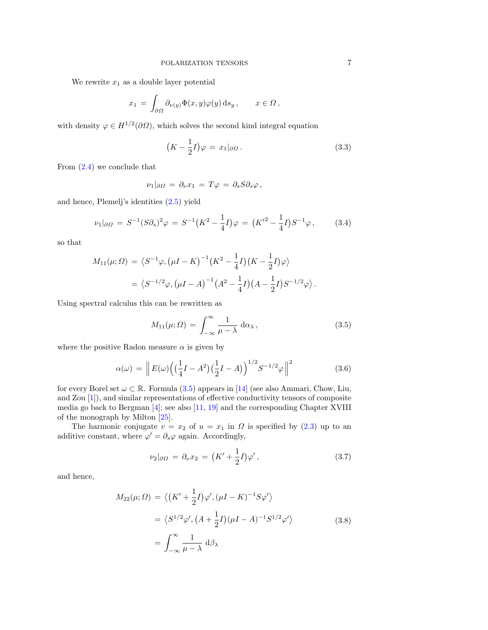We rewrite  $x_1$  as a double layer potential

$$
x_1 = \int_{\partial\Omega} \partial_{\nu(y)} \Phi(x, y) \varphi(y) \, ds_y, \qquad x \in \Omega,
$$

with density  $\varphi \in H^{1/2}(\partial \Omega)$ , which solves the second kind integral equation

<span id="page-6-3"></span>
$$
(K - \frac{1}{2}I)\varphi = x_1|_{\partial\Omega}.
$$
\n(3.3)

From [\(2.4\)](#page-2-2) we conclude that

$$
\nu_1|_{\partial\Omega} = \partial_\nu x_1 = T\varphi = \partial_s S \partial_s \varphi,
$$

and hence, Plemelj's identities [\(2.5\)](#page-3-0) yield

<span id="page-6-5"></span>
$$
\nu_1|_{\partial\Omega} = S^{-1}(S\partial_s)^2 \varphi = S^{-1}\left(K^2 - \frac{1}{4}I\right)\varphi = \left(K'^2 - \frac{1}{4}I\right)S^{-1}\varphi, \tag{3.4}
$$

so that

$$
M_{11}(\mu; \Omega) = \langle S^{-1}\varphi, (\mu I - K)^{-1} (K^2 - \frac{1}{4}I)(K - \frac{1}{2}I)\varphi \rangle
$$
  
=  $\langle S^{-1/2}\varphi, (\mu I - A)^{-1} (A^2 - \frac{1}{4}I)(A - \frac{1}{2}I)S^{-1/2}\varphi \rangle.$ 

Using spectral calculus this can be rewritten as

<span id="page-6-0"></span>
$$
M_{11}(\mu;\Omega) = \int_{-\infty}^{\infty} \frac{1}{\mu - \lambda} \, \mathrm{d}\alpha_{\lambda},\tag{3.5}
$$

where the positive Radon measure  $\alpha$  is given by

<span id="page-6-1"></span>
$$
\alpha(\omega) = \| E(\omega) \left( \left( \frac{1}{4} I - A^2 \right) \left( \frac{1}{2} I - A \right) \right)^{1/2} S^{-1/2} \varphi \, \Big|^2 \tag{3.6}
$$

for every Borel set  $\omega \subset \mathbb{R}$ . Formula [\(3.5\)](#page-6-0) appears in [\[14\]](#page-18-13) (see also Ammari, Chow, Liu, and Zou [\[1\]](#page-18-15)), and similar representations of effective conductivity tensors of composite media go back to Bergman [\[4\]](#page-18-16); see also [\[11,](#page-18-4) [19\]](#page-18-5) and the corresponding Chapter XVIII of the monograph by Milton [\[25\]](#page-18-17).

The harmonic conjugate  $v = x_2$  of  $u = x_1$  in  $\Omega$  is specified by [\(2.3\)](#page-2-3) up to an additive constant, where  $\varphi' = \partial_s \varphi$  again. Accordingly,

<span id="page-6-4"></span>
$$
\nu_2|_{\partial\Omega} = \partial_\nu x_2 = \left(K' + \frac{1}{2}I\right)\varphi',\tag{3.7}
$$

<span id="page-6-2"></span>and hence,

$$
M_{22}(\mu; \Omega) = \left\langle \left( K' + \frac{1}{2} I \right) \varphi', \left( \mu I - K \right)^{-1} S \varphi' \right\rangle
$$
  

$$
= \left\langle S^{1/2} \varphi', \left( A + \frac{1}{2} I \right) \left( \mu I - A \right)^{-1} S^{1/2} \varphi' \right\rangle
$$
  

$$
= \int_{-\infty}^{\infty} \frac{1}{\mu - \lambda} d\beta_{\lambda}
$$
 (3.8)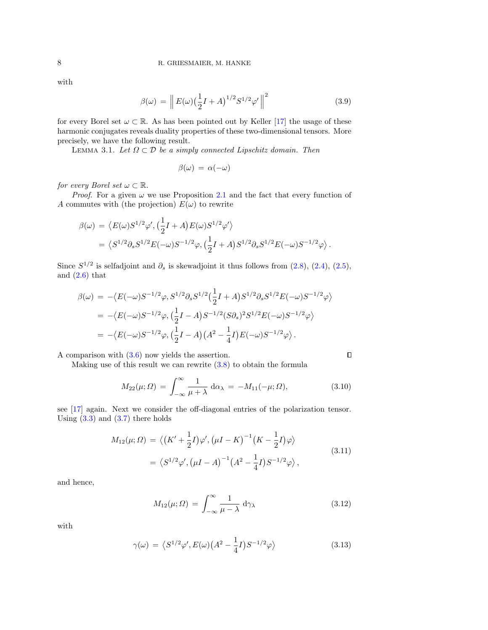with

<span id="page-7-2"></span>
$$
\beta(\omega) = \| E(\omega) (\frac{1}{2}I + A)^{1/2} S^{1/2} \varphi' \|^2 \tag{3.9}
$$

for every Borel set  $\omega \subset \mathbb{R}$ . As has been pointed out by Keller [\[17\]](#page-18-18) the usage of these harmonic conjugates reveals duality properties of these two-dimensional tensors. More precisely, we have the following result.

<span id="page-7-0"></span>LEMMA 3.1. Let  $\Omega \subset \mathcal{D}$  be a simply connected Lipschitz domain. Then

$$
\beta(\omega) = \alpha(-\omega)
$$

for every Borel set  $\omega \subset \mathbb{R}$ .

*Proof.* For a given  $\omega$  we use Proposition [2.1](#page-4-1) and the fact that every function of A commutes with (the projection)  $E(\omega)$  to rewrite

$$
\beta(\omega) = \langle E(\omega)S^{1/2}\varphi', \left(\frac{1}{2}I + A\right)E(\omega)S^{1/2}\varphi'\rangle \n= \langle S^{1/2}\partial_s S^{1/2}E(-\omega)S^{-1/2}\varphi, \left(\frac{1}{2}I + A\right)S^{1/2}\partial_s S^{1/2}E(-\omega)S^{-1/2}\varphi\rangle.
$$

Since  $S^{1/2}$  is selfadjoint and  $\partial_s$  is skewadjoint it thus follows from  $(2.8)$ ,  $(2.4)$ ,  $(2.5)$ , and  $(2.6)$  that

$$
\beta(\omega) = -\langle E(-\omega)S^{-1/2}\varphi, S^{1/2}\partial_s S^{1/2}(\frac{1}{2}I + A)S^{1/2}\partial_s S^{1/2}E(-\omega)S^{-1/2}\varphi\rangle
$$
  
= 
$$
-\langle E(-\omega)S^{-1/2}\varphi, (\frac{1}{2}I - A)S^{-1/2}(S\partial_s)^2S^{1/2}E(-\omega)S^{-1/2}\varphi\rangle
$$
  
= 
$$
-\langle E(-\omega)S^{-1/2}\varphi, (\frac{1}{2}I - A)(A^2 - \frac{1}{4}I)E(-\omega)S^{-1/2}\varphi\rangle.
$$

A comparison with [\(3.6\)](#page-6-1) now yields the assertion.

Making use of this result we can rewrite [\(3.8\)](#page-6-2) to obtain the formula

<span id="page-7-3"></span>
$$
M_{22}(\mu;\Omega) = \int_{-\infty}^{\infty} \frac{1}{\mu+\lambda} d\alpha_{\lambda} = -M_{11}(-\mu;\Omega), \qquad (3.10)
$$

 $\Box$ 

see [\[17\]](#page-18-18) again. Next we consider the off-diagonal entries of the polarization tensor. Using  $(3.3)$  and  $(3.7)$  there holds

<span id="page-7-5"></span>
$$
M_{12}(\mu; \Omega) = \langle (K' + \frac{1}{2}I)\varphi', (\mu - K)^{-1} (K - \frac{1}{2}I)\varphi \rangle
$$
  
=  $\langle S^{1/2}\varphi', (\mu - A)^{-1} (A^2 - \frac{1}{4}I)S^{-1/2}\varphi \rangle,$  (3.11)

and hence,

<span id="page-7-4"></span>
$$
M_{12}(\mu;\Omega) = \int_{-\infty}^{\infty} \frac{1}{\mu - \lambda} \, d\gamma_{\lambda} \tag{3.12}
$$

with

<span id="page-7-1"></span>
$$
\gamma(\omega) = \langle S^{1/2}\varphi', E(\omega) \left( A^2 - \frac{1}{4}I \right) S^{-1/2} \varphi \rangle \tag{3.13}
$$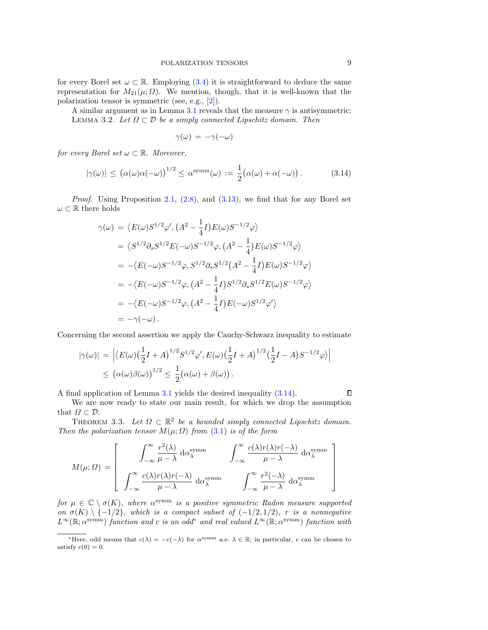for every Borel set  $\omega \subset \mathbb{R}$ . Employing [\(3.4\)](#page-6-5) it is straightforward to deduce the same representation for  $M_{21}(\mu;\Omega)$ . We mention, though, that it is well-known that the polarization tensor is symmetric (see, e.g., [\[2\]](#page-18-1)).

<span id="page-8-3"></span>A similar argument as in Lemma [3.1](#page-7-0) reveals that the measure  $\gamma$  is antisymmetric: LEMMA 3.2. Let  $\Omega \subset \mathcal{D}$  be a simply connected Lipschitz domain. Then

$$
\gamma(\omega) = -\gamma(-\omega)
$$

for every Borel set  $\omega \subset \mathbb{R}$ . Moreover,

<span id="page-8-1"></span>
$$
|\gamma(\omega)| \le (\alpha(\omega)\alpha(-\omega))^{1/2} \le \alpha^{\text{symm}}(\omega) := \frac{1}{2} (\alpha(\omega) + \alpha(-\omega)).
$$
 (3.14)

*Proof.* Using Proposition [2.1,](#page-4-1)  $(2.8)$ , and  $(3.13)$ , we find that for any Borel set  $\omega \subset \mathbb{R}$  there holds

$$
\gamma(\omega) = \langle E(\omega) S^{1/2} \varphi', (A^2 - \frac{1}{4}I) E(\omega) S^{-1/2} \varphi \rangle
$$
  
\n
$$
= \langle S^{1/2} \partial_s S^{1/2} E(-\omega) S^{-1/2} \varphi, (A^2 - \frac{1}{4}) E(\omega) S^{-1/2} \varphi \rangle
$$
  
\n
$$
= -\langle E(-\omega) S^{-1/2} \varphi, S^{1/2} \partial_s S^{1/2} (A^2 - \frac{1}{4}I) E(\omega) S^{-1/2} \varphi \rangle
$$
  
\n
$$
= -\langle E(-\omega) S^{-1/2} \varphi, (A^2 - \frac{1}{4}I) S^{1/2} \partial_s S^{1/2} E(\omega) S^{-1/2} \varphi \rangle
$$
  
\n
$$
= -\langle E(-\omega) S^{-1/2} \varphi, (A^2 - \frac{1}{4}I) E(-\omega) S^{1/2} \varphi' \rangle
$$
  
\n
$$
= -\gamma(-\omega).
$$

Concerning the second assertion we apply the Cauchy-Schwarz inequality to estimate

$$
|\gamma(\omega)| = \left| \langle E(\omega) \left( \frac{1}{2}I + A \right)^{1/2} S^{1/2} \varphi', E(\omega) \left( \frac{1}{2}I + A \right)^{1/2} \left( \frac{1}{2}I - A \right) S^{-1/2} \varphi \rangle \right|
$$
  
\$\leq\$ 
$$
(\alpha(\omega)\beta(\omega))^{1/2} \leq \frac{1}{2} (\alpha(\omega) + \beta(\omega)).
$$

A final application of Lemma [3.1](#page-7-0) yields the desired inequality [\(3.14\)](#page-8-1).

We are now ready to state our main result, for which we drop the assumption that  $\Omega \subset \mathcal{D}$ .

<span id="page-8-0"></span>THEOREM 3.3. Let  $\Omega \subset \mathbb{R}^2$  be a bounded simply connected Lipschitz domain. Then the polarization tensor  $M(\mu; \Omega)$  from  $(3.1)$  is of the form

$$
M(\mu;\Omega) = \begin{bmatrix} \int_{-\infty}^{\infty} \frac{r^2(\lambda)}{\mu - \lambda} \, \mathrm{d}\alpha_{\lambda}^{\text{symm}} & \int_{-\infty}^{\infty} \frac{c(\lambda)r(\lambda)r(-\lambda)}{\mu - \lambda} \, \mathrm{d}\alpha_{\lambda}^{\text{symm}} \\ \int_{-\infty}^{\infty} \frac{c(\lambda)r(\lambda)r(-\lambda)}{\mu - \lambda} \, \mathrm{d}\alpha_{\lambda}^{\text{symm}} & \int_{-\infty}^{\infty} \frac{r^2(-\lambda)}{\mu - \lambda} \, \mathrm{d}\alpha_{\lambda}^{\text{symm}} \end{bmatrix}
$$

for  $\mu \in \mathbb{C} \setminus \sigma(K)$ , where  $\alpha^{\text{symm}}$  is a positive symmetric Radon measure supported on  $\sigma(K)$  \ {-1/2}, which is a compact subset of (-1/2, 1/2), r is a nonnegative  $L^{\infty}(\mathbb{R}; \alpha^{\text{symm}})$  function and c is an odd<sup>\*</sup> and real valued  $L^{\infty}(\mathbb{R}; \alpha^{\text{symm}})$  function with

1  $\overline{1}$  $\overline{1}$  $\overline{1}$  $\overline{1}$  $\overline{1}$   $\Box$ 

<span id="page-8-2"></span><sup>\*</sup>Here, odd means that  $c(\lambda) = -c(-\lambda)$  for  $\alpha^{\text{symm}}$  a.e.  $\lambda \in \mathbb{R}$ ; in particular, c can be chosen to satisfy  $c(0) = 0$ .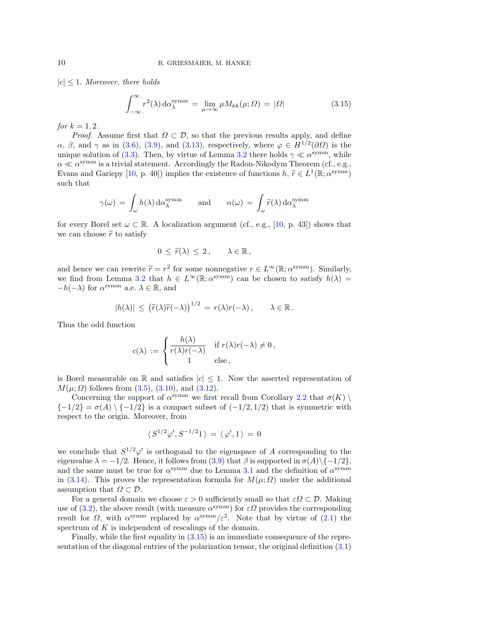$|c| \leq 1$ . Moreover, there holds

<span id="page-9-0"></span>
$$
\int_{-\infty}^{\infty} r^2(\lambda) d\alpha_{\lambda}^{\text{symm}} = \lim_{\mu \to \infty} \mu M_{kk}(\mu; \Omega) = |\Omega| \tag{3.15}
$$

for  $k = 1, 2$ .

*Proof.* Assume first that  $\Omega \subset \mathcal{D}$ , so that the previous results apply, and define  $\alpha$ ,  $\beta$ , and  $\gamma$  as in [\(3.6\)](#page-6-1), [\(3.9\)](#page-7-2), and [\(3.13\)](#page-7-1), respectively, where  $\varphi \in H^{1/2}(\partial\Omega)$  is the unique solution of [\(3.3\)](#page-6-3). Then, by virtue of Lemma [3.2](#page-8-3) there holds  $\gamma \ll \alpha^{\text{symm}}$ , while  $\alpha \ll \alpha^{\text{symm}}$  is a trivial statement. Accordingly the Radon-Nikodym Theorem (cf., e.g., Evans and Gariepy [\[10,](#page-18-19) p. 40]) implies the existence of functions  $h, \tilde{r} \in L^1(\mathbb{R}; \alpha^{\text{symm}})$ such that

$$
\gamma(\omega) = \int_{\omega} h(\lambda) \, \mathrm{d}\alpha_{\lambda}^{\mathrm{symm}} \qquad \text{and} \qquad \alpha(\omega) = \int_{\omega} \widetilde{r}(\lambda) \, \mathrm{d}\alpha_{\lambda}^{\mathrm{symm}}
$$

for every Borel set  $\omega \subset \mathbb{R}$ . A localization argument (cf., e.g., [\[10,](#page-18-19) p. 43]) shows that we can choose  $\tilde{r}$  to satisfy

$$
0 \leq \widetilde{r}(\lambda) \leq 2, \qquad \lambda \in \mathbb{R},
$$

and hence we can rewrite  $\widetilde{r} = r^2$  for some nonnegative  $r \in L^{\infty}(\mathbb{R}; \alpha^{\text{symm}})$ . Similarly, we find from Lemma [3.2](#page-8-3) that  $h \in L^{\infty}(\mathbb{R}; \alpha^{\text{symm}})$  can be chosen to satisfy  $h(\lambda) =$  $-h(-\lambda)$  for  $\alpha^{\text{symm}}$  a.e.  $\lambda \in \mathbb{R}$ , and

$$
|h(\lambda)| \leq (\widetilde{r}(\lambda)\widetilde{r}(-\lambda))^{1/2} = r(\lambda)r(-\lambda), \qquad \lambda \in \mathbb{R}.
$$

Thus the odd function

$$
c(\lambda) := \begin{cases} \frac{h(\lambda)}{r(\lambda)r(-\lambda)} & \text{if } r(\lambda)r(-\lambda) \neq 0, \\ 1 & \text{else,} \end{cases}
$$

is Borel measurable on R and satisfies  $|c| \leq 1$ . Now the asserted representation of  $M(\mu; \Omega)$  follows from  $(3.5)$ ,  $(3.10)$ , and  $(3.12)$ .

Concerning the support of  $\alpha^{\text{symm}}$  we first recall from Corollary [2.2](#page-4-2) that  $\sigma(K)$  ${-1/2} = \sigma(A) \setminus {-1/2}$  is a compact subset of  $(-1/2, 1/2)$  that is symmetric with respect to the origin. Moreover, from

$$
\langle S^{1/2}\varphi',S^{-1/2}1\rangle=\langle\varphi',1\rangle=0
$$

we conclude that  $S^{1/2}\varphi'$  is orthogonal to the eigenspace of A corresponding to the eigenvalue  $\lambda = -1/2$ . Hence, it follows from [\(3.9\)](#page-7-2) that  $\beta$  is supported in  $\sigma(A) \setminus \{-1/2\}$ , and the same must be true for  $\alpha^{\text{symm}}$  due to Lemma [3.1](#page-7-0) and the definition of  $\alpha^{\text{symm}}$ in [\(3.14\)](#page-8-1). This proves the representation formula for  $M(\mu; \Omega)$  under the additional assumption that  $\Omega \subset \mathcal{D}$ .

For a general domain we choose  $\varepsilon > 0$  sufficiently small so that  $\varepsilon \Omega \subset \mathcal{D}$ . Making use of [\(3.2\)](#page-5-2), the above result (with measure  $\alpha^{\text{symm}}$ ) for  $\varepsilon \Omega$  provides the corresponding result for  $\Omega$ , with  $\alpha^{\text{symm}}$  replaced by  $\alpha^{\text{symm}}/\varepsilon^2$ . Note that by virtue of [\(2.1\)](#page-2-4) the spectrum of  $K$  is independent of rescalings of the domain.

Finally, while the first equality in [\(3.15\)](#page-9-0) is an immediate consequence of the representation of the diagonal entries of the polarization tensor, the original definition [\(3.1\)](#page-5-1)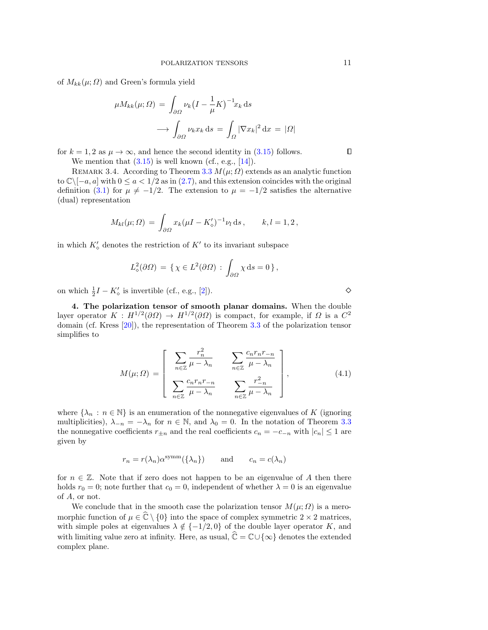of  $M_{kk}(\mu; \Omega)$  and Green's formula yield

$$
\mu M_{kk}(\mu; \Omega) = \int_{\partial \Omega} \nu_k (I - \frac{1}{\mu} K)^{-1} x_k \, ds
$$

$$
\longrightarrow \int_{\partial \Omega} \nu_k x_k \, ds = \int_{\Omega} |\nabla x_k|^2 \, dx = |\Omega|
$$

for  $k = 1, 2$  as  $\mu \to \infty$ , and hence the second identity in [\(3.15\)](#page-9-0) follows.

We mention that  $(3.15)$  is well known (cf., e.g., [\[14\]](#page-18-13)).

REMARK 3.4. According to Theorem [3.3](#page-8-0)  $M(\mu;\Omega)$  extends as an analytic function to  $\mathbb{C}\setminus[-a,a]$  with  $0 \leq a < 1/2$  as in  $(2.7)$ , and this extension coincides with the original definition [\(3.1\)](#page-5-1) for  $\mu \neq -1/2$ . The extension to  $\mu = -1/2$  satisfies the alternative (dual) representation

$$
M_{kl}(\mu;\Omega) = \int_{\partial\Omega} x_k (\mu - K'_\diamond)^{-1} \nu_l \, \mathrm{d} s, \qquad k, l = 1, 2,
$$

in which  $K'_{\diamond}$  denotes the restriction of  $K'$  to its invariant subspace

$$
L^2_{\diamond}(\partial\Omega) = \{ \chi \in L^2(\partial\Omega) : \int_{\partial\Omega} \chi \, ds = 0 \},
$$

on which  $\frac{1}{2}I - K'_{\diamond}$  is invertible (cf., e.g., [\[2\]](#page-18-1)).

<span id="page-10-0"></span>4. The polarization tensor of smooth planar domains. When the double layer operator  $K : H^{1/2}(\partial \Omega) \to H^{1/2}(\partial \Omega)$  is compact, for example, if  $\Omega$  is a  $C^2$ domain (cf. Kress [\[20\]](#page-18-20)), the representation of Theorem [3.3](#page-8-0) of the polarization tensor simplifies to

<span id="page-10-1"></span>
$$
M(\mu; \Omega) = \begin{bmatrix} \sum_{n \in \mathbb{Z}} \frac{r_n^2}{\mu - \lambda_n} & \sum_{n \in \mathbb{Z}} \frac{c_n r_n r_{-n}}{\mu - \lambda_n} \\ \sum_{n \in \mathbb{Z}} \frac{c_n r_n r_{-n}}{\mu - \lambda_n} & \sum_{n \in \mathbb{Z}} \frac{r_{-n}^2}{\mu - \lambda_n} \end{bmatrix},
$$
(4.1)

where  $\{\lambda_n : n \in \mathbb{N}\}\$  is an enumeration of the nonnegative eigenvalues of K (ignoring multiplicities),  $\lambda_{-n} = -\lambda_n$  for  $n \in \mathbb{N}$ , and  $\lambda_0 = 0$ . In the notation of Theorem [3.3](#page-8-0) the nonnegative coefficients  $r_{\pm n}$  and the real coefficients  $c_n = -c_{-n}$  with  $|c_n| \leq 1$  are given by

$$
r_n = r(\lambda_n)\alpha^{\text{symm}}(\{\lambda_n\})
$$
 and  $c_n = c(\lambda_n)$ 

for  $n \in \mathbb{Z}$ . Note that if zero does not happen to be an eigenvalue of A then there holds  $r_0 = 0$ ; note further that  $c_0 = 0$ , independent of whether  $\lambda = 0$  is an eigenvalue of A, or not.

We conclude that in the smooth case the polarization tensor  $M(\mu; \Omega)$  is a meromorphic function of  $\mu \in \mathbb{C} \setminus \{0\}$  into the space of complex symmetric  $2 \times 2$  matrices, with simple poles at eigenvalues  $\lambda \notin \{-1/2, 0\}$  of the double layer operator K, and with limiting value zero at infinity. Here, as usual,  $\hat{\mathbb{C}} = \mathbb{C} \cup \{\infty\}$  denotes the extended complex plane.

 $\Box$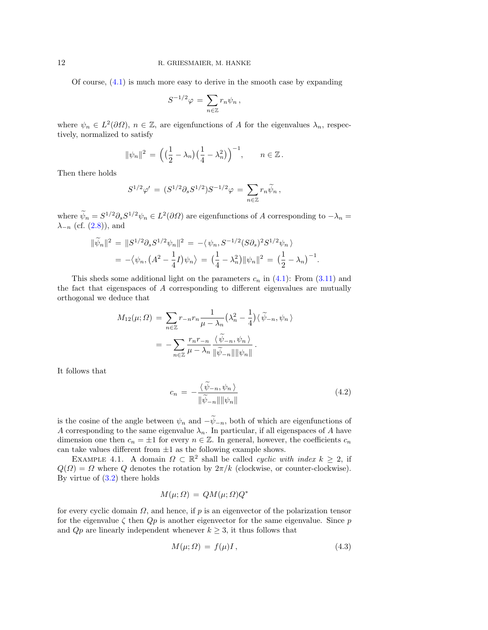Of course, [\(4.1\)](#page-10-1) is much more easy to derive in the smooth case by expanding

$$
S^{-1/2}\varphi = \sum_{n\in\mathbb{Z}} r_n \psi_n ,
$$

where  $\psi_n \in L^2(\partial\Omega)$ ,  $n \in \mathbb{Z}$ , are eigenfunctions of A for the eigenvalues  $\lambda_n$ , respectively, normalized to satisfy

$$
\|\psi_n\|^2 = \left( \left(\frac{1}{2} - \lambda_n\right)\left(\frac{1}{4} - \lambda_n^2\right) \right)^{-1}, \qquad n \in \mathbb{Z}.
$$

Then there holds

$$
S^{1/2}\varphi' = (S^{1/2}\partial_s S^{1/2})S^{-1/2}\varphi = \sum_{n\in\mathbb{Z}} r_n \widetilde{\psi}_n ,
$$

where  $\tilde{\psi}_n = S^{1/2} \partial_s S^{1/2} \psi_n \in L^2(\partial \Omega)$  are eigenfunctions of A corresponding to  $-\lambda_n =$  $\lambda_{-n}$  (cf. [\(2.8\)](#page-4-0)), and

$$
\|\widetilde{\psi}_n\|^2 = \|S^{1/2}\partial_s S^{1/2}\psi_n\|^2 = -\langle \psi_n, S^{-1/2}(S\partial_s)^2 S^{1/2}\psi_n \rangle
$$
  
=  $-\langle \psi_n, (A^2 - \frac{1}{4}I)\psi_n \rangle = (\frac{1}{4} - \lambda_n^2) \|\psi_n\|^2 = (\frac{1}{2} - \lambda_n)^{-1}.$ 

This sheds some additional light on the parameters  $c_n$  in  $(4.1)$ : From  $(3.11)$  and the fact that eigenspaces of A corresponding to different eigenvalues are mutually orthogonal we deduce that

$$
M_{12}(\mu; \Omega) = \sum_{n \in \mathbb{Z}} r_{-n} r_n \frac{1}{\mu - \lambda_n} \left(\lambda_n^2 - \frac{1}{4}\right) \langle \tilde{\psi}_{-n}, \psi_n \rangle
$$
  
= 
$$
- \sum_{n \in \mathbb{Z}} \frac{r_n r_{-n}}{\mu - \lambda_n} \frac{\langle \tilde{\psi}_{-n}, \psi_n \rangle}{\|\tilde{\psi}_{-n}\| \|\psi_n\|}.
$$

It follows that

<span id="page-11-0"></span>
$$
c_n = -\frac{\langle \tilde{\psi}_{-n}, \psi_n \rangle}{\|\tilde{\psi}_{-n}\| \|\psi_n\|} \tag{4.2}
$$

is the cosine of the angle between  $\psi_n$  and  $-\widetilde{\psi}_{-n}$ , both of which are eigenfunctions of A corresponding to the same eigenvalue  $\lambda_n$ . In particular, if all eigenspaces of A have dimension one then  $c_n = \pm 1$  for every  $n \in \mathbb{Z}$ . In general, however, the coefficients  $c_n$ can take values different from  $\pm 1$  as the following example shows.

EXAMPLE 4.1. A domain  $\Omega \subset \mathbb{R}^2$  shall be called *cyclic with index*  $k \geq 2$ , if  $Q(\Omega) = \Omega$  where Q denotes the rotation by  $2\pi/k$  (clockwise, or counter-clockwise). By virtue of  $(3.2)$  there holds

$$
M(\mu;\Omega) = QM(\mu;\Omega)Q^*
$$

for every cyclic domain  $\Omega$ , and hence, if p is an eigenvector of the polarization tensor for the eigenvalue  $\zeta$  then  $Qp$  is another eigenvector for the same eigenvalue. Since p and  $Qp$  are linearly independent whenever  $k \geq 3$ , it thus follows that

$$
M(\mu;\Omega) = f(\mu)I,\tag{4.3}
$$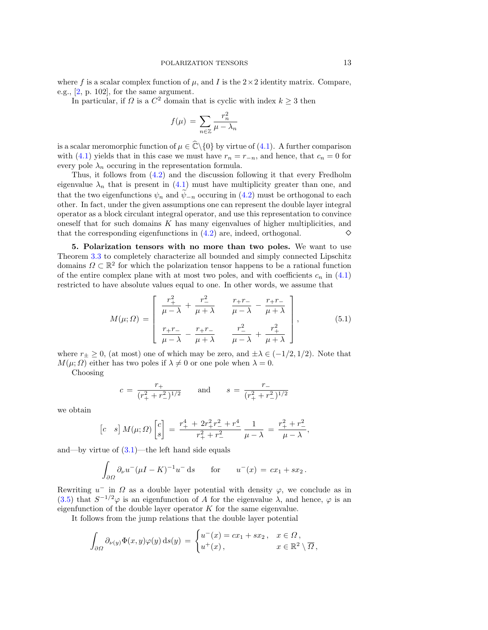where f is a scalar complex function of  $\mu$ , and I is the  $2 \times 2$  identity matrix. Compare, e.g., [\[2,](#page-18-1) p. 102], for the same argument.

In particular, if  $\Omega$  is a  $C^2$  domain that is cyclic with index  $k \geq 3$  then

$$
f(\mu) = \sum_{n \in \mathbb{Z}} \frac{r_n^2}{\mu - \lambda_n}
$$

is a scalar meromorphic function of  $\mu \in \widehat{\mathbb{C}}\backslash\{0\}$  by virtue of [\(4.1\)](#page-10-1). A further comparison with [\(4.1\)](#page-10-1) yields that in this case we must have  $r_n = r_{-n}$ , and hence, that  $c_n = 0$  for every pole  $\lambda_n$  occuring in the representation formula.

Thus, it follows from [\(4.2\)](#page-11-0) and the discussion following it that every Fredholm eigenvalue  $\lambda_n$  that is present in [\(4.1\)](#page-10-1) must have multiplicity greater than one, and that the two eigenfunctions  $\psi_n$  and  $\psi_{-n}$  occuring in [\(4.2\)](#page-11-0) must be orthogonal to each other. In fact, under the given assumptions one can represent the double layer integral operator as a block circulant integral operator, and use this representation to convince oneself that for such domains K has many eigenvalues of higher multiplicities, and that the corresponding eigenfunctions in  $(4.2)$  are, indeed, orthogonal.

<span id="page-12-0"></span>5. Polarization tensors with no more than two poles. We want to use Theorem [3.3](#page-8-0) to completely characterize all bounded and simply connected Lipschitz domains  $\Omega \subset \mathbb{R}^2$  for which the polarization tensor happens to be a rational function of the entire complex plane with at most two poles, and with coefficients  $c_n$  in [\(4.1\)](#page-10-1) restricted to have absolute values equal to one. In other words, we assume that

<span id="page-12-1"></span>
$$
M(\mu; \Omega) = \begin{bmatrix} \frac{r_+^2}{\mu - \lambda} + \frac{r_-^2}{\mu + \lambda} & \frac{r_+ r_-}{\mu - \lambda} - \frac{r_+ r_-}{\mu + \lambda} \\ \frac{r_+ r_-}{\mu - \lambda} - \frac{r_+ r_-}{\mu + \lambda} & \frac{r_-^2}{\mu - \lambda} + \frac{r_+^2}{\mu + \lambda} \end{bmatrix},
$$
(5.1)

where  $r_{\pm} \geq 0$ , (at most) one of which may be zero, and  $\pm \lambda \in (-1/2, 1/2)$ . Note that  $M(\mu; \Omega)$  either has two poles if  $\lambda \neq 0$  or one pole when  $\lambda = 0$ .

Choosing

$$
c = \frac{r_+}{(r_+^2 + r_-^2)^{1/2}}
$$
 and  $s = \frac{r_-}{(r_+^2 + r_-^2)^{1/2}}$ 

we obtain

$$
\begin{bmatrix} c & s \end{bmatrix} M(\mu; \Omega) \begin{bmatrix} c \\ s \end{bmatrix} = \frac{r_+^4 + 2r_+^2r_-^2 + r_-^4}{r_+^2 + r_-^2} \frac{1}{\mu - \lambda} = \frac{r_+^2 + r_-^2}{\mu - \lambda},
$$

and—by virtue of  $(3.1)$ —the left hand side equals

$$
\int_{\partial\Omega} \partial_{\nu} u^-(\mu I - K)^{-1} u^- ds \quad \text{for} \quad u^-(x) = cx_1 + sx_2.
$$

Rewriting  $u^-$  in  $\Omega$  as a double layer potential with density  $\varphi$ , we conclude as in [\(3.5\)](#page-6-0) that  $S^{-1/2}\varphi$  is an eigenfunction of A for the eigenvalue  $\lambda$ , and hence,  $\varphi$  is an eigenfunction of the double layer operator  $K$  for the same eigenvalue.

It follows from the jump relations that the double layer potential

$$
\int_{\partial\Omega} \partial_{\nu(y)} \Phi(x, y) \varphi(y) \, ds(y) = \begin{cases} u^-(x) = cx_1 + sx_2 \,, & x \in \Omega \,, \\ u^+(x) \,, & x \in \mathbb{R}^2 \setminus \overline{\Omega} \,, \end{cases}
$$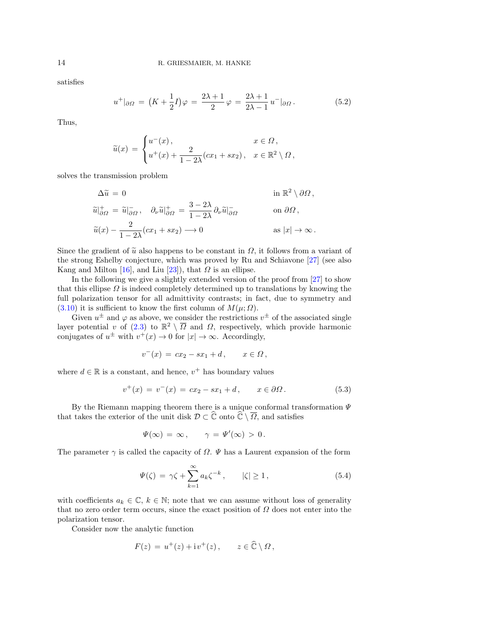satisfies

<span id="page-13-0"></span>
$$
u^+|_{\partial\Omega} = \left(K + \frac{1}{2}I\right)\varphi = \frac{2\lambda + 1}{2}\varphi = \frac{2\lambda + 1}{2\lambda - 1}u^-|_{\partial\Omega}.
$$
 (5.2)

Thus,

$$
\widetilde{u}(x) = \begin{cases} u^-(x), & x \in \Omega, \\ u^+(x) + \frac{2}{1-2\lambda}(cx_1 + sx_2), & x \in \mathbb{R}^2 \setminus \Omega, \end{cases}
$$

solves the transmission problem

$$
\Delta \widetilde{u} = 0 \qquad \text{in } \mathbb{R}^2 \setminus \partial \Omega ,
$$
  
\n
$$
\widetilde{u}|_{\partial \Omega}^+ = \widetilde{u}|_{\partial \Omega}^-, \quad \partial_\nu \widetilde{u}|_{\partial \Omega}^+ = \frac{3 - 2\lambda}{1 - 2\lambda} \partial_\nu \widetilde{u}|_{\partial \Omega}^- \qquad \text{on } \partial \Omega ,
$$
  
\n
$$
\widetilde{u}(x) - \frac{2}{1 - 2\lambda} (cx_1 + sx_2) \longrightarrow 0 \qquad \text{as } |x| \to \infty .
$$

Since the gradient of  $\tilde{u}$  also happens to be constant in  $\Omega$ , it follows from a variant of the strong Eshelby conjecture, which was proved by Ru and Schiavone [\[27\]](#page-18-21) (see also Kang and Milton [\[16\]](#page-18-22), and Liu [\[23\]](#page-18-23)), that  $\Omega$  is an ellipse.

In the following we give a slightly extended version of the proof from [\[27\]](#page-18-21) to show that this ellipse  $\Omega$  is indeed completely determined up to translations by knowing the full polarization tensor for all admittivity contrasts; in fact, due to symmetry and [\(3.10\)](#page-7-3) it is sufficient to know the first column of  $M(\mu; \Omega)$ .

Given  $u^{\pm}$  and  $\varphi$  as above, we consider the restrictions  $v^{\pm}$  of the associated single layer potential v of [\(2.3\)](#page-2-3) to  $\mathbb{R}^2 \setminus \overline{\Omega}$  and  $\Omega$ , respectively, which provide harmonic conjugates of  $u^{\pm}$  with  $v^+(x) \to 0$  for  $|x| \to \infty$ . Accordingly,

$$
v^{-}(x) = cx_{2} - sx_{1} + d, \qquad x \in \Omega,
$$

where  $d \in \mathbb{R}$  is a constant, and hence,  $v^+$  has boundary values

<span id="page-13-1"></span>
$$
v^{+}(x) = v^{-}(x) = cx_{2} - sx_{1} + d, \qquad x \in \partial \Omega.
$$
 (5.3)

By the Riemann mapping theorem there is a unique conformal transformation  $\Psi$ that takes the exterior of the unit disk  $\mathcal{D} \subset \widehat{\mathbb{C}}$  onto  $\widehat{\mathbb{C}} \setminus \overline{\Omega}$ , and satisfies

$$
\Psi(\infty) = \infty, \qquad \gamma = \Psi'(\infty) > 0.
$$

The parameter  $\gamma$  is called the capacity of  $\Omega$ .  $\Psi$  has a Laurent expansion of the form

<span id="page-13-2"></span>
$$
\Psi(\zeta) = \gamma \zeta + \sum_{k=1}^{\infty} a_k \zeta^{-k}, \qquad |\zeta| \ge 1, \tag{5.4}
$$

with coefficients  $a_k \in \mathbb{C}$ ,  $k \in \mathbb{N}$ ; note that we can assume without loss of generality that no zero order term occurs, since the exact position of  $\Omega$  does not enter into the polarization tensor.

Consider now the analytic function

$$
F(z) = u^+(z) + \mathrm{i} v^+(z), \qquad z \in \widehat{\mathbb{C}} \setminus \Omega,
$$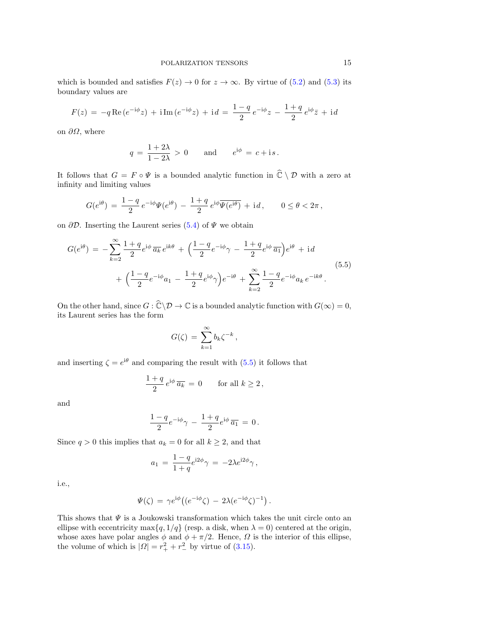which is bounded and satisfies  $F(z) \to 0$  for  $z \to \infty$ . By virtue of [\(5.2\)](#page-13-0) and [\(5.3\)](#page-13-1) its boundary values are

$$
F(z) = -q \operatorname{Re} (e^{-i\phi} z) + i \operatorname{Im} (e^{-i\phi} z) + i d = \frac{1-q}{2} e^{-i\phi} z - \frac{1+q}{2} e^{i\phi} \overline{z} + i d
$$

on  $\partial\Omega$ , where

$$
q = \frac{1+2\lambda}{1-2\lambda} > 0
$$
 and  $e^{i\phi} = c + i s$ .

It follows that  $G = F \circ \Psi$  is a bounded analytic function in  $\widehat{\mathbb{C}} \setminus \mathcal{D}$  with a zero at infinity and limiting values

$$
G(e^{i\theta}) = \frac{1-q}{2} e^{-i\phi} \Psi(e^{i\theta}) - \frac{1+q}{2} e^{i\phi} \overline{\Psi(e^{i\theta})} + id, \qquad 0 \le \theta < 2\pi,
$$

on  $\partial \mathcal{D}$ . Inserting the Laurent series [\(5.4\)](#page-13-2) of  $\Psi$  we obtain

<span id="page-14-0"></span>
$$
G(e^{i\theta}) = -\sum_{k=2}^{\infty} \frac{1+q}{2} e^{i\phi} \overline{a_k} e^{ik\theta} + \left( \frac{1-q}{2} e^{-i\phi} \gamma - \frac{1+q}{2} e^{i\phi} \overline{a_1} \right) e^{i\theta} + id
$$
  
+  $\left( \frac{1-q}{2} e^{-i\phi} a_1 - \frac{1+q}{2} e^{i\phi} \gamma \right) e^{-i\theta} + \sum_{k=2}^{\infty} \frac{1-q}{2} e^{-i\phi} a_k e^{-ik\theta}.$  (5.5)

On the other hand, since  $G: \widehat{\mathbb{C}}\backslash\mathcal{D} \to \mathbb{C}$  is a bounded analytic function with  $G(\infty) = 0$ , its Laurent series has the form

$$
G(\zeta) = \sum_{k=1}^{\infty} b_k \zeta^{-k},
$$

and inserting  $\zeta = e^{i\theta}$  and comparing the result with  $(5.5)$  it follows that

$$
\frac{1+q}{2} e^{i\phi} \overline{a_k} = 0 \quad \text{for all } k \ge 2,
$$

and

$$
\frac{1-q}{2}e^{-\mathrm{i}\phi}\gamma - \frac{1+q}{2}e^{\mathrm{i}\phi}\overline{a_1} = 0.
$$

Since  $q > 0$  this implies that  $a_k = 0$  for all  $k \geq 2$ , and that

$$
a_1\,=\,\frac{1-q}{1+q}e^{{\rm i}2\phi}\gamma\,=\,-2\lambda e^{{\rm i}2\phi}\gamma\,,
$$

i.e.,

$$
\Psi(\zeta) = \gamma e^{\mathrm{i}\phi} \big( (e^{-\mathrm{i}\phi}\zeta) - 2\lambda (e^{-\mathrm{i}\phi}\zeta)^{-1} \big) \, .
$$

This shows that  $\Psi$  is a Joukowski transformation which takes the unit circle onto an ellipse with eccentricity max ${q, 1/q}$  (resp. a disk, when  $\lambda = 0$ ) centered at the origin, whose axes have polar angles  $\phi$  and  $\phi + \pi/2$ . Hence,  $\Omega$  is the interior of this ellipse, the volume of which is  $|\Omega| = r_+^2 + r_-^2$  by virtue of [\(3.15\)](#page-9-0).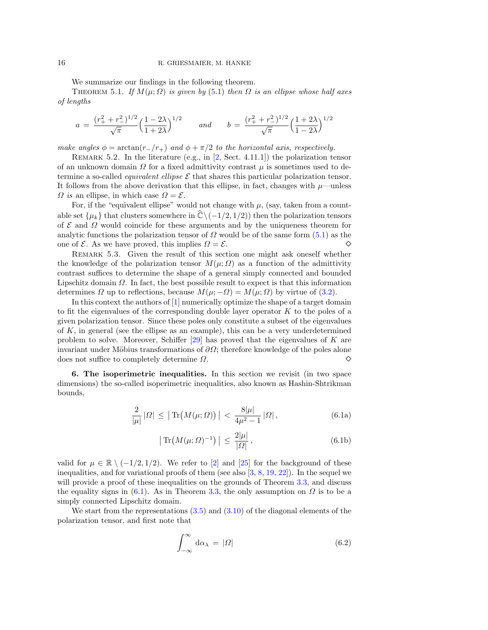We summarize our findings in the following theorem.

THEOREM 5.1. If  $M(\mu; \Omega)$  is given by [\(5.1\)](#page-12-1) then  $\Omega$  is an ellipse whose half axes of lengths

$$
a = \frac{(r_+^2 + r_-^2)^{1/2}}{\sqrt{\pi}} \left(\frac{1 - 2\lambda}{1 + 2\lambda}\right)^{1/2} \quad and \quad b = \frac{(r_+^2 + r_-^2)^{1/2}}{\sqrt{\pi}} \left(\frac{1 + 2\lambda}{1 - 2\lambda}\right)^{1/2}
$$

make angles  $\phi = \arctan(r_-/r_+)$  and  $\phi + \pi/2$  to the horizontal axis, respectively.

REMARK 5.2. In the literature (e.g., in  $[2,$  Sect. 4.11.1]) the polarization tensor of an unknown domain  $\Omega$  for a fixed admittivity contrast  $\mu$  is sometimes used to determine a so-called *equivalent ellipse*  $\mathcal E$  that shares this particular polarization tensor. It follows from the above derivation that this ellipse, in fact, changes with  $\mu$ —unless  $\Omega$  is an ellipse, in which case  $\Omega = \mathcal{E}$ .

For, if the "equivalent ellipse" would not change with  $\mu$ , (say, taken from a countable set  $\{\mu_k\}$  that clusters somewhere in  $\mathbb{C} \setminus (-1/2, 1/2)$  then the polarization tensors of  $\mathcal E$  and  $\Omega$  would coincide for these arguments and by the uniqueness theorem for analytic functions the polarization tensor of  $\Omega$  would be of the same form [\(5.1\)](#page-12-1) as the one of  $\mathcal{E}$ . As we have proved, this implies  $\Omega = \mathcal{E}$ .

Remark 5.3. Given the result of this section one might ask oneself whether the knowledge of the polarization tensor  $M(\mu; \Omega)$  as a function of the admittivity contrast suffices to determine the shape of a general simply connected and bounded Lipschitz domain  $\Omega$ . In fact, the best possible result to expect is that this information determines  $\Omega$  up to reflections, because  $M(\mu; -\Omega) = M(\mu; \Omega)$  by virtue of [\(3.2\)](#page-5-2).

In this context the authors of [\[1\]](#page-18-15) numerically optimize the shape of a target domain to fit the eigenvalues of the corresponding double layer operator  $K$  to the poles of a given polarization tensor. Since these poles only constitute a subset of the eigenvalues of K, in general (see the ellipse as an example), this can be a very underdetermined problem to solve. Moreover, Schiffer  $[29]$  has proved that the eigenvalues of K are invariant under Möbius transformations of  $\partial\Omega$ ; therefore knowledge of the poles alone does not suffice to completely determine  $\Omega$ .

<span id="page-15-1"></span><span id="page-15-0"></span>6. The isoperimetric inequalities. In this section we revisit (in two space dimensions) the so-called isoperimetric inequalities, also known as Hashin-Shtrikman bounds,

$$
\frac{2}{|\mu|} |\Omega| \le |\operatorname{Tr}(M(\mu; \Omega))| < \frac{8|\mu|}{4\mu^2 - 1} |\Omega| \,, \tag{6.1a}
$$

<span id="page-15-4"></span><span id="page-15-3"></span>
$$
\left| \text{Tr}\big(M(\mu;\Omega)^{-1}\big) \right| \le \frac{2|\mu|}{|\Omega|},\tag{6.1b}
$$

valid for  $\mu \in \mathbb{R} \setminus (-1/2, 1/2)$ . We refer to [\[2\]](#page-18-1) and [\[25\]](#page-18-17) for the background of these inequalities, and for variational proofs of them (see also  $[3, 8, 19, 22]$  $[3, 8, 19, 22]$  $[3, 8, 19, 22]$  $[3, 8, 19, 22]$  $[3, 8, 19, 22]$  $[3, 8, 19, 22]$  $[3, 8, 19, 22]$ ). In the sequel we will provide a proof of these inequalities on the grounds of Theorem [3.3,](#page-8-0) and discuss the equality signs in [\(6.1\)](#page-15-1). As in Theorem [3.3,](#page-8-0) the only assumption on  $\Omega$  is to be a simply connected Lipschitz domain.

We start from the representations [\(3.5\)](#page-6-0) and [\(3.10\)](#page-7-3) of the diagonal elements of the polarization tensor, and first note that

<span id="page-15-2"></span>
$$
\int_{-\infty}^{\infty} d\alpha_{\lambda} = |\Omega| \tag{6.2}
$$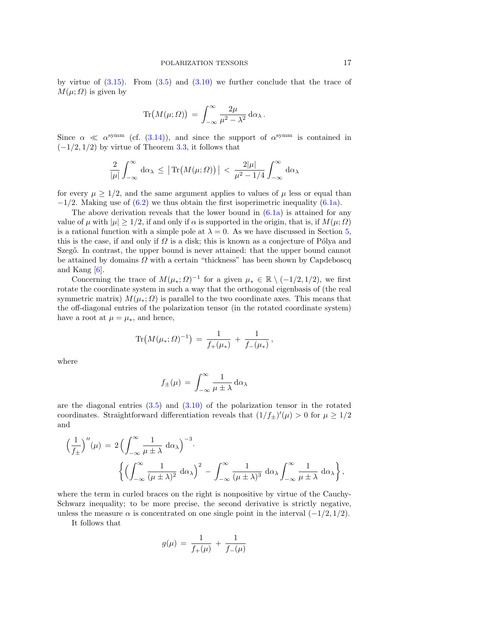by virtue of  $(3.15)$ . From  $(3.5)$  and  $(3.10)$  we further conclude that the trace of  $M(\mu; \Omega)$  is given by

$$
\text{Tr}\big(M(\mu;\Omega)\big) \,=\, \int_{-\infty}^\infty \frac{2\mu}{\mu^2-\lambda^2}\,\mathrm{d}\alpha_\lambda\,.
$$

Since  $\alpha \ll \alpha^{\text{symm}}$  (cf. [\(3.14\)](#page-8-1)), and since the support of  $\alpha^{\text{symm}}$  is contained in  $(-1/2, 1/2)$  by virtue of Theorem [3.3,](#page-8-0) it follows that

$$
\frac{2}{|\mu|} \int_{-\infty}^{\infty} d\alpha_{\lambda} \leq |\operatorname{Tr}(M(\mu; \Omega))| < \frac{2|\mu|}{\mu^2 - 1/4} \int_{-\infty}^{\infty} d\alpha_{\lambda}
$$

for every  $\mu \geq 1/2$ , and the same argument applies to values of  $\mu$  less or equal than  $-1/2$ . Making use of [\(6.2\)](#page-15-2) we thus obtain the first isoperimetric inequality [\(6.1a\)](#page-15-3).

The above derivation reveals that the lower bound in  $(6.1a)$  is attained for any value of  $\mu$  with  $|\mu| \geq 1/2$ , if and only if  $\alpha$  is supported in the origin, that is, if  $M(\mu; \Omega)$ is a rational function with a simple pole at  $\lambda = 0$ . As we have discussed in Section [5,](#page-12-0) this is the case, if and only if  $\Omega$  is a disk; this is known as a conjecture of Pólya and Szegő. In contrast, the upper bound is never attained: that the upper bound cannot be attained by domains  $\Omega$  with a certain "thickness" has been shown by Capdeboscq and Kang [\[6\]](#page-18-24).

Concerning the trace of  $M(\mu_*, \Omega)^{-1}$  for a given  $\mu_* \in \mathbb{R} \setminus (-1/2, 1/2)$ , we first rotate the coordinate system in such a way that the orthogonal eigenbasis of (the real symmetric matrix)  $M(\mu_*, \Omega)$  is parallel to the two coordinate axes. This means that the off-diagonal entries of the polarization tensor (in the rotated coordinate system) have a root at  $\mu = \mu_*$ , and hence,

$$
\text{Tr}\big(M(\mu_*; \Omega)^{-1}\big) \,=\, \frac{1}{f_+(\mu_*)}\,+\,\frac{1}{f_-(\mu_*)}\,,
$$

where

$$
f_{\pm}(\mu) = \int_{-\infty}^{\infty} \frac{1}{\mu \pm \lambda} \, \mathrm{d}\alpha_{\lambda}
$$

are the diagonal entries  $(3.5)$  and  $(3.10)$  of the polarization tensor in the rotated coordinates. Straightforward differentiation reveals that  $(1/f_{\pm})'(\mu) > 0$  for  $\mu \geq 1/2$ and

$$
\left(\frac{1}{f_{\pm}}\right)^{\prime\prime}(\mu) = 2\left(\int_{-\infty}^{\infty} \frac{1}{\mu \pm \lambda} d\alpha_{\lambda}\right)^{-3}.
$$

$$
\left\{\left(\int_{-\infty}^{\infty} \frac{1}{(\mu \pm \lambda)^2} d\alpha_{\lambda}\right)^2 - \int_{-\infty}^{\infty} \frac{1}{(\mu \pm \lambda)^3} d\alpha_{\lambda}\int_{-\infty}^{\infty} \frac{1}{\mu \pm \lambda} d\alpha_{\lambda}\right\},\right.
$$

where the term in curled braces on the right is nonpositive by virtue of the Cauchy-Schwarz inequality; to be more precise, the second derivative is strictly negative, unless the measure  $\alpha$  is concentrated on one single point in the interval  $(-1/2, 1/2)$ .

It follows that

$$
g(\mu) = \frac{1}{f_+(\mu)} + \frac{1}{f_-(\mu)}
$$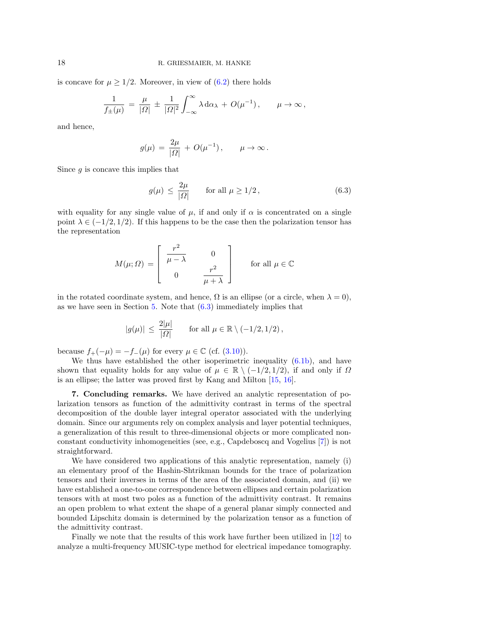is concave for  $\mu \geq 1/2$ . Moreover, in view of [\(6.2\)](#page-15-2) there holds

$$
\frac{1}{f_{\pm}(\mu)} = \frac{\mu}{|\Omega|} \pm \frac{1}{|\Omega|^2} \int_{-\infty}^{\infty} \lambda \, d\alpha_{\lambda} + O(\mu^{-1}), \qquad \mu \to \infty,
$$

and hence,

$$
g(\mu) = \frac{2\mu}{|\Omega|} + O(\mu^{-1}), \qquad \mu \to \infty.
$$

Since  $q$  is concave this implies that

<span id="page-17-0"></span>
$$
g(\mu) \le \frac{2\mu}{|\Omega|} \qquad \text{for all } \mu \ge 1/2, \tag{6.3}
$$

with equality for any single value of  $\mu$ , if and only if  $\alpha$  is concentrated on a single point  $\lambda \in (-1/2, 1/2)$ . If this happens to be the case then the polarization tensor has the representation

$$
M(\mu; \Omega) = \begin{bmatrix} \frac{r^2}{\mu - \lambda} & 0 \\ 0 & \frac{r^2}{\mu + \lambda} \end{bmatrix} \quad \text{for all } \mu \in \mathbb{C}
$$

in the rotated coordinate system, and hence,  $\Omega$  is an ellipse (or a circle, when  $\lambda = 0$ ), as we have seen in Section  $5.$  Note that  $(6.3)$  immediately implies that

$$
|g(\mu)| \, \leq \, \frac{2|\mu|}{|\Omega|} \qquad \text{for all } \mu \in \mathbb{R} \setminus (-1/2, 1/2) \, ,
$$

because  $f_+(-\mu) = -f_-(\mu)$  for every  $\mu \in \mathbb{C}$  (cf. [\(3.10\)](#page-7-3)).

We thus have established the other isoperimetric inequality  $(6.1b)$ , and have shown that equality holds for any value of  $\mu \in \mathbb{R} \setminus (-1/2, 1/2)$ , if and only if  $\Omega$ is an ellipse; the latter was proved first by Kang and Milton [\[15,](#page-18-25) [16\]](#page-18-22).

7. Concluding remarks. We have derived an analytic representation of polarization tensors as function of the admittivity contrast in terms of the spectral decomposition of the double layer integral operator associated with the underlying domain. Since our arguments rely on complex analysis and layer potential techniques, a generalization of this result to three-dimensional objects or more complicated nonconstant conductivity inhomogeneities (see, e.g., Capdeboscq and Vogelius [\[7\]](#page-18-26)) is not straightforward.

We have considered two applications of this analytic representation, namely (i) an elementary proof of the Hashin-Shtrikman bounds for the trace of polarization tensors and their inverses in terms of the area of the associated domain, and (ii) we have established a one-to-one correspondence between ellipses and certain polarization tensors with at most two poles as a function of the admittivity contrast. It remains an open problem to what extent the shape of a general planar simply connected and bounded Lipschitz domain is determined by the polarization tensor as a function of the admittivity contrast.

Finally we note that the results of this work have further been utilized in [\[12\]](#page-18-9) to analyze a multi-frequency MUSIC-type method for electrical impedance tomography.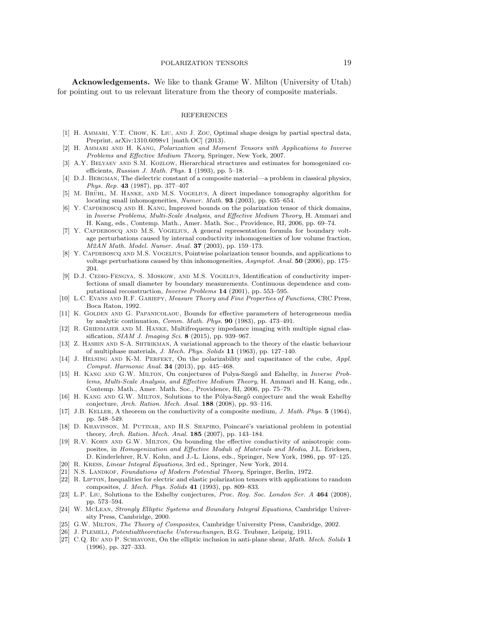#### POLARIZATION TENSORS 19

Acknowledgements. We like to thank Grame W. Milton (University of Utah) for pointing out to us relevant literature from the theory of composite materials.

## REFERENCES

- <span id="page-18-15"></span>[1] H. AMMARI, Y.T. CHOW, K. LIU, AND J. ZOU, Optimal shape design by partial spectral data, Preprint, arXiv:1310.6098v1 [math.OC] (2013).
- <span id="page-18-1"></span>[2] H. Ammari and H. Kang, Polarization and Moment Tensors with Applications to Inverse Problems and Effective Medium Theory, Springer, New York, 2007.
- <span id="page-18-6"></span>[3] A.Y. BELYAEV AND S.M. KOZLOW, Hierarchical structures and estimates for homogenized coefficients, Russian J. Math. Phys. 1 (1993), pp. 5–18.
- <span id="page-18-16"></span>[4] D.J. BERGMAN, The dielectric constant of a composite material—a problem in classical physics, Phys. Rep. 43 (1987), pp. 377–407
- <span id="page-18-0"></span>[5] M. BRÜHL, M. HANKE, AND M.S. VOGELIUS, A direct impedance tomography algorithm for locating small inhomogeneities, Numer. Math. 93 (2003), pp. 635–654.
- <span id="page-18-24"></span>[6] Y. CAPDEBOSCQ AND H. KANG, Improved bounds on the polarization tensor of thick domains, in Inverse Problems, Multi-Scale Analysis, and Effective Medium Theory, H. Ammari and H. Kang, eds., Contemp. Math., Amer. Math. Soc., Providence, RI, 2006, pp. 69–74.
- <span id="page-18-26"></span>[7] Y. Capdeboscq and M.S. Vogelius, A general representation formula for boundary voltage perturbations caused by internal conductivity inhomogeneities of low volume fraction, M2AN Math. Model. Numer. Anal. 37 (2003), pp. 159–173.
- <span id="page-18-8"></span>[8] Y. CAPDEBOSCQ AND M.S. VOGELIUS, Pointwise polarization tensor bounds, and applications to voltage perturbations caused by thin inhomogeneities, Asymptot. Anal. 50 (2006), pp. 175– 204.
- <span id="page-18-2"></span>[9] D.J. CEDIO-FENGYA, S. MOSKOW, AND M.S. VOGELIUS, Identification of conductivity imperfections of small diameter by boundary measurements. Continuous dependence and computational reconstruction, Inverse Problems 14 (2001), pp. 553–595.
- <span id="page-18-19"></span>[10] L.C. Evans and R.F. Gariepy, Measure Theory and Fine Properties of Functions, CRC Press, Boca Raton, 1992.
- <span id="page-18-4"></span>[11] K. GOLDEN AND G. PAPANICOLAOU, Bounds for effective parameters of heterogeneous media by analytic continuation, Comm. Math. Phys. 90 (1983), pp. 473–491.
- <span id="page-18-9"></span>[12] R. Griesmaier and M. Hanke, Multifrequency impedance imaging with multiple signal classification, SIAM J. Imaging Sci. 8 (2015), pp. 939–967.
- <span id="page-18-3"></span>[13] Z. HASHIN AND S-A. SHTRIKMAN, A variational approach to the theory of the elastic behaviour of multiphase materials, J. Mech. Phys. Solids 11 (1963), pp. 127–140.
- <span id="page-18-13"></span>[14] J. HELSING AND K-M. PERFEKT, On the polarizability and capacitance of the cube, Appl. Comput. Harmonic Anal. 34 (2013), pp. 445–468.
- <span id="page-18-25"></span>[15] H. KANG AND G.W. MILTON, On conjectures of Polya-Szegő and Eshelby, in *Inverse Prob*lems, Multi-Scale Analysis, and Effective Medium Theory, H. Ammari and H. Kang, eds., Contemp. Math., Amer. Math. Soc., Providence, RI, 2006, pp. 75–79.
- <span id="page-18-22"></span>[16] H. KANG AND G.W. MILTON, Solutions to the Pólya-Szegő conjecture and the weak Eshelby conjecture, Arch. Ration. Mech. Anal. 188 (2008), pp. 93–116.
- <span id="page-18-18"></span>[17] J.B. KELLER, A theorem on the conductivity of a composite medium, J. Math. Phys. 5 (1964), pp. 548–549.
- <span id="page-18-12"></span>[18] D. KHAVINSON, M. PUTINAR, AND H.S. SHAPIRO, Poincaré's variational problem in potential theory, Arch. Ration. Mech. Anal. 185 (2007), pp. 143–184.
- <span id="page-18-5"></span>[19] R.V. KOHN AND G.W. MILTON, On bounding the effective conductivity of anisotropic composites, in Homogenization and Effective Moduli of Materials and Media, J.L. Ericksen, D. Kinderlehrer, R.V. Kohn, and J.-L. Lions, eds., Springer, New York, 1986, pp. 97–125.
- <span id="page-18-20"></span>[20] R. Kress, Linear Integral Equations, 3rd ed., Springer, New York, 2014.
- <span id="page-18-14"></span>[21] N.S. LANDKOF, Foundations of Modern Potential Theory, Springer, Berlin, 1972.
- <span id="page-18-7"></span>[22] R. Lipton, Inequalities for electric and elastic polarization tensors with applications to random composites, J. Mech. Phys. Solids 41 (1993), pp. 809–833.
- <span id="page-18-23"></span>[23] L.P. Liu, Solutions to the Eshelby conjectures, Proc. Roy. Soc. London Ser. A 464 (2008), pp. 573–594.
- <span id="page-18-10"></span>[24] W. McLean, Strongly Elliptic Systems and Boundary Integral Equations, Cambridge University Press, Cambridge, 2000.
- <span id="page-18-17"></span>[25] G.W. MILTON, The Theory of Composites, Cambridge University Press, Cambridge, 2002.
- <span id="page-18-11"></span>[26] J. Plemelj, Potentialtheoretische Untersuchungen, B.G. Teubner, Leipzig, 1911.
- <span id="page-18-21"></span>[27] C.Q. RU AND P. SCHIAVONE, On the elliptic inclusion in anti-plane shear, Math. Mech. Solids 1 (1996), pp. 327–333.